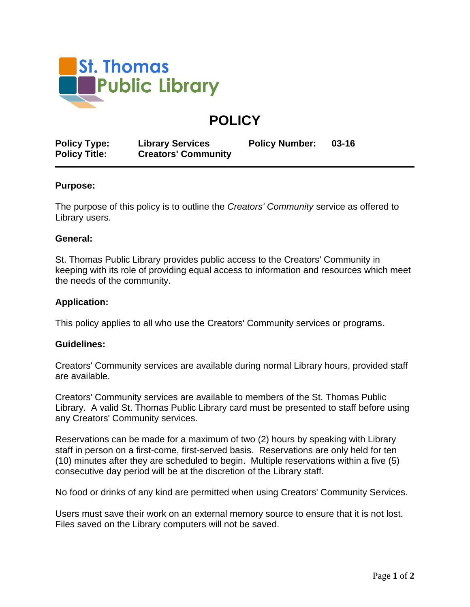

# **POLICY**

| <b>Policy Type:</b>  | <b>Library Services</b>    | <b>Policy Number:</b> | $03 - 16$ |
|----------------------|----------------------------|-----------------------|-----------|
| <b>Policy Title:</b> | <b>Creators' Community</b> |                       |           |

## **Purpose:**

The purpose of this policy is to outline the *Creators' Community* service as offered to Library users.

## **General:**

St. Thomas Public Library provides public access to the Creators' Community in keeping with its role of providing equal access to information and resources which meet the needs of the community.

## **Application:**

This policy applies to all who use the Creators' Community services or programs.

## **Guidelines:**

Creators' Community services are available during normal Library hours, provided staff are available.

Creators' Community services are available to members of the St. Thomas Public Library. A valid St. Thomas Public Library card must be presented to staff before using any Creators' Community services.

Reservations can be made for a maximum of two (2) hours by speaking with Library staff in person on a first-come, first-served basis. Reservations are only held for ten (10) minutes after they are scheduled to begin. Multiple reservations within a five (5) consecutive day period will be at the discretion of the Library staff.

No food or drinks of any kind are permitted when using Creators' Community Services.

Users must save their work on an external memory source to ensure that it is not lost. Files saved on the Library computers will not be saved.